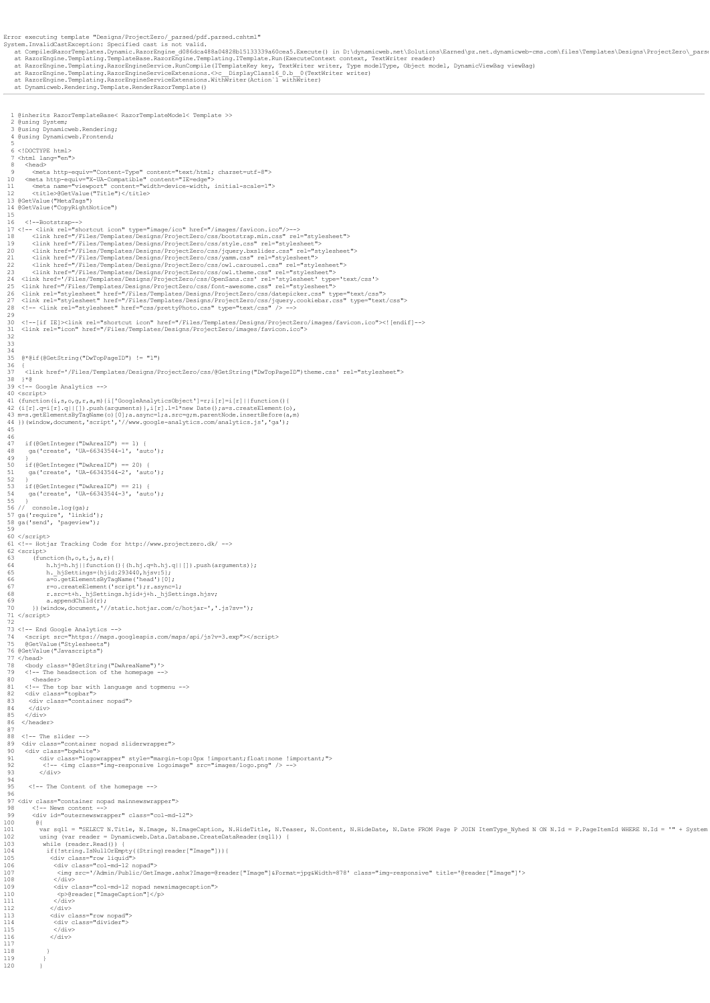2 @using System; 3 @using Dynamicweb.Rendering; 4 @using Dynamicweb.Frontend; 5 6 <!DOCTYPE html> 7 <html lang="en"> 8 <br/>chead><br>
9 <br/> <br/> <br/>exabltp-equiv="Content-Type" content="text/html; charset=utf-8"><br>
10 <meta http-equiv="X-UA-Compatible" content="IE=edge"><br>
11 <meta name="viewport" content="vidth=device-width, initial-sc 15 <!--Bootstrap--><br>
17 <!-- <link rel="shortcut icon" type="image/ico" href="/images/favicon.ico"/>--><br>
17 <!-- <link href="/Files/Templates/Designs/ProjectZero/css/bootstrap.min.css" rel="stylesheet"><br>
18 <link href="/Fi 30 <!--[if IE]><link rel="shortcut icon" href="/Files/Templates/Designs/ProjectZero/images/favicon.ico"><![endif]--> 31 <link rel="icon" href="/Files/Templates/Designs/ProjectZero/images/favicon.ico"> 32 33 34 35 @\*@if(@GetString("DwTopPageID") != "1") 36 { 37 <link href='/Files/Templates/Designs/ProjectZero/css/@GetString("DwTopPageID")theme.css' rel="stylesheet"> 38 }\*@ 39 <!-- Google Analytics --> 40 (script><br>41 (function(i,s,o,g,r,a,m){i['GoogleAnalyticsObject']=r;i[r]=i[r]||function(){<br>42 (i[r].q=i[r].q||[]).push(arguments)},i[r].l=l\*new Date();a=s.createElement(o),<br>43 m=s.getElementSByTaqName(o)[0];a.async=l;a.sr  $46$ 47 if(@GetInteger("DwAreaID") == 1) { 48 ga('create', 'UA-66343544-1', 'auto'); 49 } 50 if(@GetInteger("DwAreaID") == 20) { 51 ga('create', 'UA-66343544-2', 'auto'); 52 } 53 if(@GetInteger("DwAreaID") == 21) { 54 ga('create', 'UA-66343544-3', 'auto'); 55 } 56 // console.log(ga); 57 ga('require', 'linkid'); 58 ga('send', 'pageview'); 59 60 </script> 61 <!-- Hotjar Tracking Code for http://www.projectzero.dk/ --> 62 <script>  $\begin{array}{ll} &\text{(function (h, o, r, j, a, r)} &\text{(function (h, o, r, j, a, r)) &\text{(in)} \\ &\text{h, h} &\text{h}, \text{h)} &\text{(in)} \\ &\text{h, h} &\text{h}, \text{h} &\text{(in)} \\ &\text{h, h} &\text{h} &\text{(in)} \\ &\text{h, h} &\text{h} &\text{(in)} \\ &\text{h, h} &\text{h} &\text{(in)} \\ &\text{h, h} &\text{h} &\text{(in)} \\ &\text{h, h} &\text{h} &\text{(in)} \\ &\text{h, h} &\text{h$ 73 <!-- End Google Analytics --><br>74 <br/>script src="https://maps.googleapis.com/maps/api/js?v=3.exp"></script><br>75 @GetValue("Stylesheets")<br>76 @GetValue("Javascripts") 77 </head><br>78 <body class='@GetString("DwAreaName")'><br>79 <!-- The headsection of the homepage --> 80 <header><br>81 <!-- The top bar with language and topmenu --><br>82 <div class="topbar"><br>83 <div class="container nopad"> 84 </div> 85 </div> 86 </header> 87 o,<br>88 <!-- The slider --><br>89 <div class="contain %9 <div class="container nopad sliderwrapper"><br>90 <div class="bgwhite"><br>91 <div class="logowrapper" style="margin-top:0px !important;float:none !important;"><br>92 <!-- <img class="img-responsive logoimage" src="images/logo.p  $\frac{1}{\sqrt{div}}$ 94 95 <!-- The Content of the homepage --> 96<br>96 <div class="container nopad mainnewswrapper"><br>98 <l-- News content --><br>99 <div id="outernewswrapper" class="col-md-12"><br>100 @{ var sqll = "SELECT N.Title, N.Image, N.ImageCaption, N.HideTitle, N.Teaser, N.Content, N.HideDate, N.Date FROM Page P JOIN ItemType\_Nyhed N ON N.Id = P.PageItemId WHERE N.Id = '" + System<br>102 using (var reader = Dynamicweb 112 </div> 113 <div class="row nopad"> 114 <div class="divider"> 115 </div> 116 </div>  $\begin{array}{ccc}\n118 & & & \rightarrow \\
119 & & & \rightarrow\n\end{array}$  $\begin{array}{ccc} 119 & & & \\ 120 & & & \end{array}$ 

Error executing template "Designs/ProjectZero/\_parsed/pdf.parsed.cshtml"<br>System.InvalidCastException: Specified cast is not valid.<br>at CompiledRazorTemplates.Dynamic.RazorEngine\_dO86dca488a04828b15133339a60cea5.Execute() in

1 @inherits RazorTemplateBase< RazorTemplateModel< Template >>

45

117

 $-120$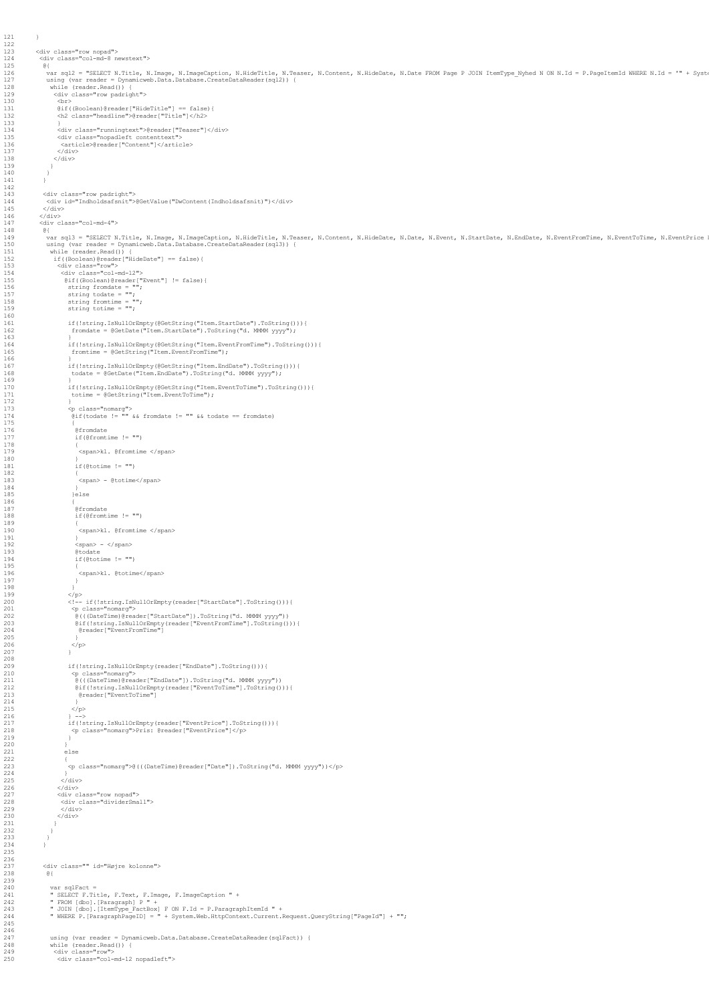```
123 <div class="row nopad">
124 <div class="col-md-8 newstext">
 125 @{<br>126 var sql2 = "SELECT N.Title, N.Image, N.ImageCaption, N.HideTitle, N.Teaser, N.Content, N.HideDate, N.Date FROM Page P JOIN ItemType_Nyhed N ON N.Id = P.PageItemId WHERE N.Id = '" + Syst<br>127 using (var reader = D
 131 @if((Boolean)@reader["HideTitle"] == false){
132 <h2 class="headline">@reader["Title"]</h2>
 133 }
134 <div class="runningtext">@reader["Teaser"]</div>
135 <div class="nopadleft contenttext">
136 <article>@reader["Content"]</article>
137 </div>
138 </div>
 140 }<br>141 }<br>142 }
 143 <div class="row padright">
144 <div id="Indholdsafsnit">@GetValue("DwContent(Indholdsafsnit)")</div>
 (Adiv><br>
146 </div><br>
(Adiv)<br>
147 div class="col-md-4"><br>
48 et collect N.Thage, N.Image, N.ImageCaption, N.HideTitle, N.Teaser, N.Content, N.HideDate, N.Event, N.StartDate, N.Exchlate, N.EventFromTime, N.EventToTime, N.Event
 161 if(!string.IsNullOrEmpty(@GetString("Item.StartDate").ToString())){
162 fromdate = @GetDate("Item.StartDate").ToString("d. MMMM yyyy");
163 }
 164 if(!string.IsNullOrEmpty(@GetString("Item.EventFromTime").ToString())){
165 fromtime = @GetString("Item.EventFromTime");
 166 }
167 if(!string.IsNullOrEmpty(@GetString("Item.EndDate").ToString())){
168 todate = @GetDate("Item.EndDate").ToString("d. MMMM yyyy");
 170 if(!string.IsNullOrEmpty(@GetString("Item.EventToTime").ToString())){
171 totime = @GetString("Item.EventToTime");
 173 <p class="nomarg">
174 @if(todate != "" && fromdate != "" && todate == fromdate)
 176 @fromdate
177 if(@fromtime != "")
 178 {
                              <sub>1</sub><br><span>kl. @fromtime </span>
                            181 if(@totime != "")
183<br>\langle \text{span} \rangle - @totime</span><br>184
 184 }
                           \big\}else
 187 @fromdate
188 if(@fromtime != "")
190 <span>kl. @fromtime </span><br>191 >>>>>>
 191 }<br>192 <span> - </span><br>193 @todate<br>194 if(@totime != "")
                             <span>kl. @totime</span>
 198<br/>\begin{tabular}{ll} 199 & & \mbox{\scriptsize $\checkmark$} \\ 199 & & \mbox{\scriptsize $\checkmark$} \\ 200 & & \mbox{\scriptsize $\checkmark$} \\ 201 & & \mbox{\scriptsize $\checkpsi$} \\ 202 & & \mbox{\scriptsize $\checkpsi$} \\ 202 & & \mbox{\scriptsize $\checkpsi$} \\ 203 & & \mbox{\scriptsize $\check{e}$} \\ 204 & & \mbox{\scriptsize $\check{e}$} \\ 205 & & \mbox{\scriptsize $\check{e}$} \\ 206 & & \mbox{\scriptsize $\check{e}$} \\ 207 & & \mbox{\scriptsize $\check{e}$} \\ 2206 </p>
207 }
 1990<br>
16 (!string.IsNullorEmpty(reader["EndDate"].ToString())){<br>
210 (pclass="nomarg"><br>
211 @(((DateTime)@reader["EndDate"]).ToString("d.MMM yyyy"))<br>
212 @if(!string.IsNullOrEmpty(reader["EventToTime"].ToString())){<br>
@icl
 214 }<br>215 </p>
 216 } -->
217 if(!string.IsNullOrEmpty(reader["EventPrice"].ToString())){
218 <p class="nomarg">Pris: @reader["EventPrice"]</p>
219 }
 220 }
                         ,<br>else
 222 {
223 <p class="nomarg">@(((DateTime)@reader["Date"]).ToString("d. MMMM yyyy"))</p>
224 }<br>225 </div>
 225 </div><br>227 </div class="row nopad"><br>227 <div class="row nopad"><br>228 <div class="dividerSmall"><br>230 </div>
231 }
                237 <div class="" id="Højre kolonne">
 238 @{
 240 var sqlFact =<br>241 – SELECT F.Title, F.Text, F.Image, F.ImageCaption " +<br>242 – " FROM (dbo).[Paragraph] P " +<br>243 – " JOIN (dbo).[ItemType_FactBox] F ON F.Id = P.ParagraphItemId " +<br>244 – " WHERE P.[ParagraphPageID] = "
 247 using (var reader = Dynamicweb.Data.Database.CreateDataReader(sqlFact)) {
248 while (reader.Read()) {
249 <div class="row">
250 <div class="col-md-12 nopadleft">
```
121 }  $\frac{122}{123}$ 

139 }

 $\frac{160}{161}$ 

 $\frac{169}{170}$ 

171<br>171<br>172<br>173

 $\frac{175}{176}$ 

 $\frac{180}{181}$ 

 $182$ <br> $183$ 

184<br>185<br>186<br>187

 $189$ <br> $190$ 

195 {

 $197$ <br>198

208

 $\frac{239}{240}$ 

242<br>243<br>244<br>245 246<br>247